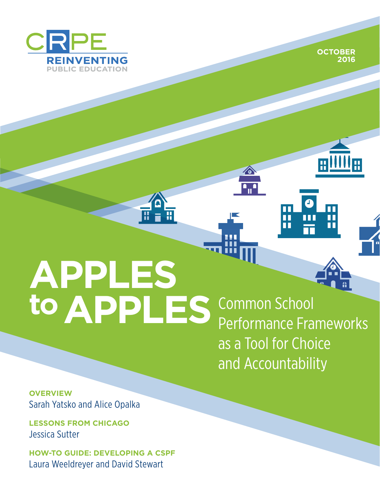

**Style Guide** OCTOBER 2016 **OCTOBER 2016**



ш

# **APPLES**  to APPLES Common School

Performance Frameworks as a Tool for Choice and Accountability

П H

ш

**ZO** 

**OVERVIEW** Sarah Yatsko and Alice Opalka

**LESSONS FROM CHICAGO** Jessica Sutter

**HOW-TO GUIDE: DEVELOPING A CSPF** Laura Weeldreyer and David Stewart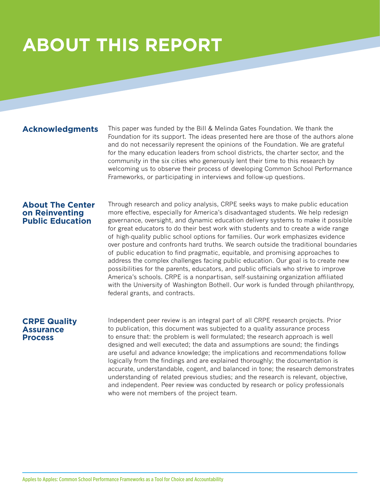# **ABOUT THIS REPORT**

#### **Acknowledgments**

This paper was funded by the Bill & Melinda Gates Foundation. We thank the Foundation for its support. The ideas presented here are those of the authors alone and do not necessarily represent the opinions of the Foundation. We are grateful for the many education leaders from school districts, the charter sector, and the community in the six cities who generously lent their time to this research by welcoming us to observe their process of developing Common School Performance Frameworks, or participating in interviews and follow-up questions.

#### **About The Center on Reinventing Public Education**

Through research and policy analysis, CRPE seeks ways to make public education more effective, especially for America's disadvantaged students. We help redesign governance, oversight, and dynamic education delivery systems to make it possible for great educators to do their best work with students and to create a wide range of high-quality public school options for families. Our work emphasizes evidence over posture and confronts hard truths. We search outside the traditional boundaries of public education to find pragmatic, equitable, and promising approaches to address the complex challenges facing public education. Our goal is to create new possibilities for the parents, educators, and public officials who strive to improve America's schools. CRPE is a nonpartisan, self-sustaining organization affiliated with the University of Washington Bothell. Our work is funded through philanthropy, federal grants, and contracts.

#### **CRPE Quality Assurance Process**

Independent peer review is an integral part of all CRPE research projects. Prior to publication, this document was subjected to a quality assurance process to ensure that: the problem is well formulated; the research approach is well designed and well executed; the data and assumptions are sound; the findings are useful and advance knowledge; the implications and recommendations follow logically from the findings and are explained thoroughly; the documentation is accurate, understandable, cogent, and balanced in tone; the research demonstrates understanding of related previous studies; and the research is relevant, objective, and independent. Peer review was conducted by research or policy professionals who were not members of the project team.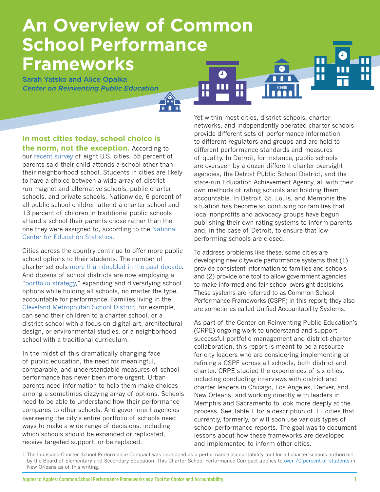## **An Overview of Common School Performance Frameworks** Ω

H

Sarah Yatsko and Alice Opalka *Center on Reinventing Public Education*

**In most cities today, school choice is the norm, not the exception.** According to our [recent survey](http://www.crpe.org/sites/default/files/crpe_how-parents-experience-public-school-choice.pdf) of eight U.S. cities, 55 percent of parents said their child attends a school other than their neighborhood school. Students in cities are likely to have a choice between a wide array of districtrun magnet and alternative schools, public charter schools, and private schools. Nationwide, 6 percent of all public school children attend a charter school and 13 percent of children in traditional public schools attend a school their parents chose rather than the one they were assigned to, according to the [National](https://nces.ed.gov/fastfacts/display.asp?id=6)  [Center for Education Statistics](https://nces.ed.gov/fastfacts/display.asp?id=6).

Cities across the country continue to offer more public school options to their students. The number of charter schools [more than doubled in the past decade.](http://www.publiccharters.org/dashboard/home) And dozens of school districts are now employing a "[portfolio strategy,](http://www.crpe.org/research/portfolio-strategy)" expanding and diversifying school options while holding all schools, no matter the type, accountable for performance. Families living in the [Cleveland Metropolitan School District,](http://www.clevelandmetroschools.org/Page/2124) for example, can send their children to a charter school, or a district school with a focus on digital art, architectural design, or environmental studies, or a neighborhood school with a traditional curriculum.

In the midst of this dramatically changing face of public education, the need for meaningful, comparable, and understandable measures of school performance has never been more urgent. Urban parents need information to help them make choices among a sometimes dizzying array of options. Schools need to be able to understand how their performance compares to other schools. And government agencies overseeing the city's entire portfolio of schools need ways to make a wide range of decisions, including which schools should be expanded or replicated, receive targeted support, or be replaced.

Yet within most cities, district schools, charter networks, and independently operated charter schools provide different sets of performance information to different regulators and groups and are held to different performance standards and measures of quality. In Detroit, for instance, public schools are overseen by a dozen different charter oversight agencies, the Detroit Public School District, and the state-run Education Achievement Agency, all with their own methods of rating schools and holding them accountable. In Detroit, St. Louis, and Memphis the situation has become so confusing for families that local nonprofits and advocacy groups have begun publishing their own rating systems to inform parents and, in the case of Detroit, to ensure that lowperforming schools are closed.

 $\blacksquare$ n П

П

To address problems like these, some cities are developing new citywide performance systems that (1) provide consistent information to families and schools and (2) provide one tool to allow government agencies to make informed and fair school oversight decisions. These systems are referred to as Common School Performance Frameworks (CSPF) in this report; they also are sometimes called Unified Accountability Systems.

As part of the Center on Reinventing Public Education's (CRPE) ongoing work to understand and support successful portfolio management and district-charter collaboration, this report is meant to be a resource for city leaders who are considering implementing or refining a CSPF across all schools, both district and charter. CRPE studied the experiences of six cities, including conducting interviews with district and charter leaders in Chicago, Los Angeles, Denver, and New Orleans<sup>1</sup> and working directly with leaders in Memphis and Sacramento to look more deeply at the process. See Table 1 for a description of 11 cities that currently, formerly, or will soon use various types of school performance reports. The goal was to document lessons about how these frameworks are developed and implemented to inform other cities.

<sup>1</sup> The Louisiana Charter School Performance Compact was developed as a performance accountability tool for all charter schools authorized by the Board of Elementary and Secondary Education. This Charter School Performance Compact applies to [over 70 percent of students](https://www.louisianabelieves.com/docs/default-source/katrina/final-louisana-believes-v5-enrollment-demographics22f9e85b8c9b66d6b292ff0000215f92.pdf?sfvrsn=2) in New Orleans as of this writing.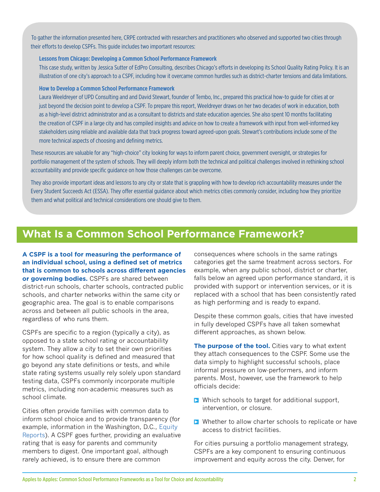To gather the information presented here, CRPE contracted with researchers and practitioners who observed and supported two cities through their efforts to develop CSPFs. This guide includes two important resources:

#### **[Lessons from Chicago: Developing a Common School Performance Framework](http://crpe.org/sites/default/files/cspf-report-case-study.pdf)**

This case study, written by Jessica Sutter of EdPro Consulting, describes Chicago's efforts in developing its School Quality Rating Policy. It is an illustration of one city's approach to a CSPF, including how it overcame common hurdles such as district-charter tensions and data limitations.

#### **[How to Develop a Common School Performance Framework](http://crpe.org/sites/default/files/cspf-report-how-to.pdf)**

Laura Weeldreyer of UPD Consulting and and David Stewart, founder of Tembo, Inc., prepared this practical how-to guide for cities at or just beyond the decision point to develop a CSPF. To prepare this report, Weeldreyer draws on her two decades of work in education, both as a high-level district administrator and as a consultant to districts and state education agencies. She also spent 10 months facilitating the creation of CSPF in a large city and has compiled insights and advice on how to create a framework with input from well-informed key stakeholders using reliable and available data that track progress toward agreed-upon goals. Stewart's contributions include some of the more technical aspects of choosing and defining metrics.

These resources are valuable for any "high-choice" city looking for ways to inform parent choice, government oversight, or strategies for portfolio management of the system of schools. They will deeply inform both the technical and political challenges involved in rethinking school accountability and provide specific guidance on how those challenges can be overcome.

They also provide important ideas and lessons to any city or state that is grappling with how to develop rich accountability measures under the Every Student Succeeds Act (ESSA). They offer essential guidance about which metrics cities commonly consider, including how they prioritize them and what political and technical considerations one should give to them.

## **What Is a Common School Performance Framework?**

**A CSPF is a tool for measuring the performance of an individual school, using a defined set of metrics that is common to schools across different agencies or governing bodies.** CSPFs are shared between district-run schools, charter schools, contracted public schools, and charter networks within the same city or geographic area. The goal is to enable comparisons across and between all public schools in the area, regardless of who runs them.

CSPFs are specific to a region (typically a city), as opposed to a state school rating or accountability system. They allow a city to set their own priorities for how school quality is defined and measured that go beyond any state definitions or tests, and while state rating systems usually rely solely upon standard testing data, CSPFs commonly incorporate multiple metrics, including non-academic measures such as school climate.

Cities often provide families with common data to inform school choice and to provide transparency (for example, information in the Washington, D.C., [Equity](http://osse.dc.gov/equity-reports)  [Reports\)](http://osse.dc.gov/equity-reports). A CSPF goes further, providing an evaluative rating that is easy for parents and community members to digest. One important goal, although rarely achieved, is to ensure there are common

consequences where schools in the same ratings categories get the same treatment across sectors. For example, when any public school, district or charter, falls below an agreed upon performance standard, it is provided with support or intervention services, or it is replaced with a school that has been consistently rated as high performing and is ready to expand.

Despite these common goals, cities that have invested in fully developed CSPFs have all taken somewhat different approaches, as shown below.

**The purpose of the tool.** Cities vary to what extent they attach consequences to the CSPF. Some use the data simply to highlight successful schools, place informal pressure on low-performers, and inform parents. Most, however, use the framework to help officials decide:

- $\triangleright$  Which schools to target for additional support, intervention, or closure.
- **E** Whether to allow charter schools to replicate or have access to district facilities.

For cities pursuing a portfolio management strategy, CSPFs are a key component to ensuring continuous improvement and equity across the city. Denver, for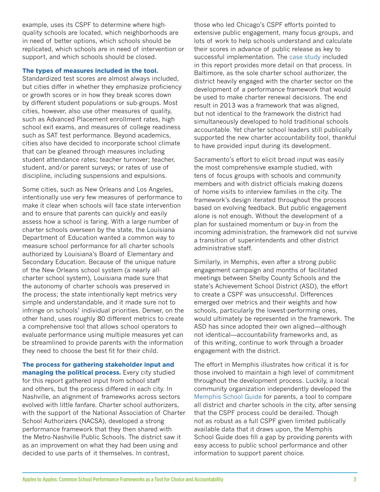example, uses its CSPF to determine where highquality schools are located, which neighborhoods are in need of better options, which schools should be replicated, which schools are in need of intervention or support, and which schools should be closed.

#### **The types of measures included in the tool.**

Standardized test scores are almost always included, but cities differ in whether they emphasize proficiency or growth scores or in how they break scores down by different student populations or sub-groups. Most cities, however, also use other measures of quality, such as Advanced Placement enrollment rates, high school exit exams, and measures of college readiness such as SAT test performance. Beyond academics, cities also have decided to incorporate school climate that can be gleaned through measures including student attendance rates; teacher turnover; teacher, student, and/or parent surveys; or rates of use of discipline, including suspensions and expulsions.

Some cities, such as New Orleans and Los Angeles, intentionally use very few measures of performance to make it clear when schools will face state intervention and to ensure that parents can quickly and easily assess how a school is faring. With a large number of charter schools overseen by the state, the Louisiana Department of Education wanted a common way to measure school performance for all charter schools authorized by Louisiana's Board of Elementary and Secondary Education. Because of the unique nature of the New Orleans school system (a nearly allcharter school system), Louisiana made sure that the autonomy of charter schools was preserved in the process; the state intentionally kept metrics very simple and understandable, and it made sure not to infringe on schools' individual priorities. Denver, on the other hand, uses roughly 80 different metrics to create a comprehensive tool that allows school operators to evaluate performance using multiple measures yet can be streamlined to provide parents with the information they need to choose the best fit for their child.

**The process for gathering stakeholder input and managing the political process.** Every city studied for this report gathered input from school staff and others, but the process differed in each city. In Nashville, an alignment of frameworks across sectors evolved with little fanfare. Charter school authorizers, with the support of the National Association of Charter School Authorizers (NACSA), developed a strong performance framework that they then shared with the Metro-Nashville Public Schools. The district saw it as an improvement on what they had been using and decided to use parts of it themselves. In contrast,

those who led Chicago's CSPF efforts pointed to extensive public engagement, many focus groups, and lots of work to help schools understand and calculate their scores in advance of public release as key to successful implementation. The [case study i](http://crpe.org/sites/default/files/cspf-report-case-study.pdf)ncluded in this report provides more detail on that process. In Baltimore, as the sole charter school authorizer, the district heavily engaged with the charter sector on the development of a performance framework that would be used to make charter renewal decisions. The end result in 2013 was a framework that was aligned, but not identical to the framework the district had simultaneously developed to hold traditional schools accountable. Yet charter school leaders still publically supported the new charter accountability tool, thankful to have provided input during its development.

Sacramento's effort to elicit broad input was easily the most comprehensive example studied, with tens of focus groups with schools and community members and with district officials making dozens of home visits to interview families in the city. The framework's design iterated throughout the process based on evolving feedback. But public engagement alone is not enough. Without the development of a plan for sustained momentum or buy-in from the incoming administration, the framework did not survive a transition of superintendents and other district administrative staff.

Similarly, in Memphis, even after a strong public engagement campaign and months of facilitated meetings between Shelby County Schools and the state's Achievement School District (ASD), the effort to create a CSPF was unsuccessful. Differences emerged over metrics and their weights and how schools, particularly the lowest-performing ones, would ultimately be represented in the framework. The ASD has since adopted their own aligned—although not identical—accountability frameworks and, as of this writing, continue to work through a broader engagement with the district.

The effort in Memphis illustrates how critical it is for those involved to maintain a high level of commitment throughout the development process. Luckily, a local community organization independently developed the [Memphis School Guide](http://memphisschoolguide.org/) for parents, a tool to compare all district and charter schools in the city, after sensing that the CSPF process could be derailed. Though not as robust as a full CSPF given limited publically available data that it draws upon, the Memphis School Guide does fill a gap by providing parents with easy access to public school performance and other information to support parent choice.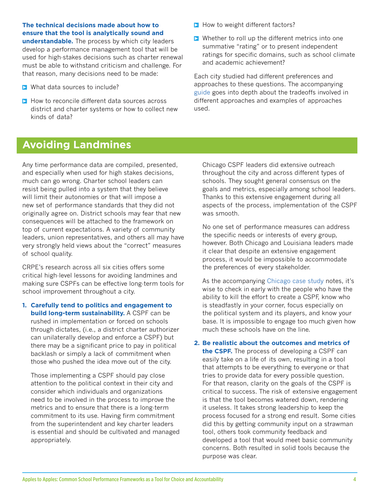**The technical decisions made about how to ensure that the tool is analytically sound and** 

**understandable.** The process by which city leaders develop a performance management tool that will be used for high-stakes decisions such as charter renewal must be able to withstand criticism and challenge. For that reason, many decisions need to be made:

- **Notable 12 What data sources to include?**
- $\triangleright$  How to reconcile different data sources across district and charter systems or how to collect new kinds of data?
- $\triangleright$  How to weight different factors?
- **E** Whether to roll up the different metrics into one summative "rating" or to present independent ratings for specific domains, such as school climate and academic achievement?

Each city studied had different preferences and approaches to these questions. The accompanying [guide](http://crpe.org/sites/default/files/cspf-report-how-to.pdf) goes into depth about the tradeoffs involved in different approaches and examples of approaches used.

## **Avoiding Landmines**

Any time performance data are compiled, presented, and especially when used for high stakes decisions, much can go wrong. Charter school leaders can resist being pulled into a system that they believe will limit their autonomies or that will impose a new set of performance standards that they did not originally agree on. District schools may fear that new consequences will be attached to the framework on top of current expectations. A variety of community leaders, union representatives, and others all may have very strongly held views about the "correct" measures of school quality.

CRPE's research across all six cities offers some critical high-level lessons for avoiding landmines and making sure CSPFs can be effective long-term tools for school improvement throughout a city.

**1. Carefully tend to politics and engagement to build long-term sustainability.** A CSPF can be rushed in implementation or forced on schools through dictates, (i.e., a district charter authorizer can unilaterally develop and enforce a CSPF) but there may be a significant price to pay in political backlash or simply a lack of commitment when those who pushed the idea move out of the city.

Those implementing a CSPF should pay close attention to the political context in their city and consider which individuals and organizations need to be involved in the process to improve the metrics and to ensure that there is a long-term commitment to its use. Having firm commitment from the superintendent and key charter leaders is essential and should be cultivated and managed appropriately.

Chicago CSPF leaders did extensive outreach throughout the city and across different types of schools. They sought general consensus on the goals and metrics, especially among school leaders. Thanks to this extensive engagement during all aspects of the process, implementation of the CSPF was smooth.

No one set of performance measures can address the specific needs or interests of every group, however. Both Chicago and Louisiana leaders made it clear that despite an extensive engagement process, it would be impossible to accommodate the preferences of every stakeholder.

As the accompanying [Chicago case study](http://crpe.org/sites/default/files/cspf-report-case-study.pdf) notes, it's wise to check in early with the people who have the ability to kill the effort to create a CSPF, know who is steadfastly in your corner, focus especially on the political system and its players, and know your base. It is impossible to engage too much given how much these schools have on the line.

#### **2. Be realistic about the outcomes and metrics of**

**the CSPF.** The process of developing a CSPF can easily take on a life of its own, resulting in a tool that attempts to be everything to everyone or that tries to provide data for every possible question. For that reason, clarity on the goals of the CSPF is critical to success. The risk of extensive engagement is that the tool becomes watered down, rendering it useless. It takes strong leadership to keep the process focused for a strong end result. Some cities did this by getting community input on a strawman tool, others took community feedback and developed a tool that would meet basic community concerns. Both resulted in solid tools because the purpose was clear.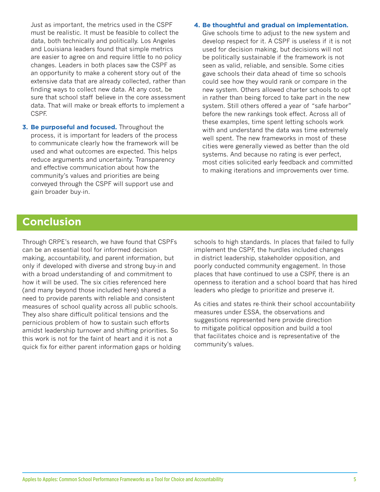Just as important, the metrics used in the CSPF must be realistic. It must be feasible to collect the data, both technically and politically. Los Angeles and Louisiana leaders found that simple metrics are easier to agree on and require little to no policy changes. Leaders in both places saw the CSPF as an opportunity to make a coherent story out of the extensive data that are already collected, rather than finding ways to collect new data. At any cost, be sure that school staff believe in the core assessment data. That will make or break efforts to implement a CSPF.

**3. Be purposeful and focused.** Throughout the process, it is important for leaders of the process to communicate clearly how the framework will be used and what outcomes are expected. This helps reduce arguments and uncertainty. Transparency and effective communication about how the community's values and priorities are being conveyed through the CSPF will support use and gain broader buy-in.

#### **4. Be thoughtful and gradual on implementation.**

Give schools time to adjust to the new system and develop respect for it. A CSPF is useless if it is not used for decision making, but decisions will not be politically sustainable if the framework is not seen as valid, reliable, and sensible. Some cities gave schools their data ahead of time so schools could see how they would rank or compare in the new system. Others allowed charter schools to opt in rather than being forced to take part in the new system. Still others offered a year of "safe harbor" before the new rankings took effect. Across all of these examples, time spent letting schools work with and understand the data was time extremely well spent. The new frameworks in most of these cities were generally viewed as better than the old systems. And because no rating is ever perfect, most cities solicited early feedback and committed to making iterations and improvements over time.

## **Conclusion**

Through CRPE's research, we have found that CSPFs can be an essential tool for informed decision making, accountability, and parent information, but only if developed with diverse and strong buy-in and with a broad understanding of and commitment to how it will be used. The six cities referenced here (and many beyond those included here) shared a need to provide parents with reliable and consistent measures of school quality across all public schools. They also share difficult political tensions and the pernicious problem of how to sustain such efforts amidst leadership turnover and shifting priorities. So this work is not for the faint of heart and it is not a quick fix for either parent information gaps or holding schools to high standards. In places that failed to fully implement the CSPF, the hurdles included changes in district leadership, stakeholder opposition, and poorly conducted community engagement. In those places that have continued to use a CSPF, there is an openness to iteration and a school board that has hired leaders who pledge to prioritize and preserve it.

As cities and states re-think their school accountability measures under ESSA, the observations and suggestions represented here provide direction to mitigate political opposition and build a tool that facilitates choice and is representative of the community's values.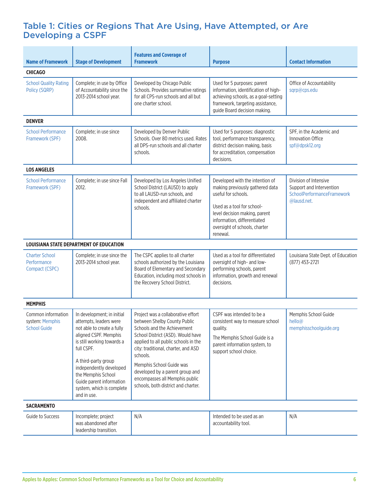### Table 1: Cities or Regions That Are Using, Have Attempted, or Are Developing a CSPF

| <b>Name of Framework</b>                                     | <b>Stage of Development</b>                                                                                                                                                                                                                                                                             | <b>Features and Coverage of</b><br><b>Framework</b>                                                                                                                                                                                                                                                                                                                       | <b>Purpose</b>                                                                                                                                                                                                                       | <b>Contact Information</b>                                                                            |  |  |  |
|--------------------------------------------------------------|---------------------------------------------------------------------------------------------------------------------------------------------------------------------------------------------------------------------------------------------------------------------------------------------------------|---------------------------------------------------------------------------------------------------------------------------------------------------------------------------------------------------------------------------------------------------------------------------------------------------------------------------------------------------------------------------|--------------------------------------------------------------------------------------------------------------------------------------------------------------------------------------------------------------------------------------|-------------------------------------------------------------------------------------------------------|--|--|--|
| <b>CHICAGO</b>                                               |                                                                                                                                                                                                                                                                                                         |                                                                                                                                                                                                                                                                                                                                                                           |                                                                                                                                                                                                                                      |                                                                                                       |  |  |  |
| <b>School Quality Rating</b><br>Policy (SQRP)                | Complete; in use by Office<br>of Accountability since the<br>2013-2014 school year.                                                                                                                                                                                                                     | Developed by Chicago Public<br>Schools. Provides summative ratings<br>for all CPS-run schools and all but<br>one charter school.                                                                                                                                                                                                                                          | Used for 5 purposes: parent<br>information, identification of high-<br>achieving schools, as a goal-setting<br>framework, targeting assistance,<br>guide Board decision making.                                                      | Office of Accountability<br>sqrp@cps.edu                                                              |  |  |  |
| <b>DENVER</b>                                                |                                                                                                                                                                                                                                                                                                         |                                                                                                                                                                                                                                                                                                                                                                           |                                                                                                                                                                                                                                      |                                                                                                       |  |  |  |
| <b>School Performance</b><br>Framework (SPF)                 | Complete; in use since<br>2008.                                                                                                                                                                                                                                                                         | Developed by Denver Public<br>Schools, Over 80 metrics used, Rates<br>all DPS-run schools and all charter<br>schools.                                                                                                                                                                                                                                                     | Used for 5 purposes: diagnostic<br>tool, performance transparency,<br>district decision making, basis<br>for accreditation, compensation<br>decisions.                                                                               | SPF, in the Academic and<br>Innovation Office<br>spf@dpsk12.org                                       |  |  |  |
| <b>LOS ANGELES</b>                                           |                                                                                                                                                                                                                                                                                                         |                                                                                                                                                                                                                                                                                                                                                                           |                                                                                                                                                                                                                                      |                                                                                                       |  |  |  |
| <b>School Performance</b><br>Framework (SPF)                 | Complete; in use since Fall<br>2012.                                                                                                                                                                                                                                                                    | Developed by Los Angeles Unified<br>School District (LAUSD) to apply<br>to all LAUSD-run schools, and<br>independent and affiliated charter<br>schools.                                                                                                                                                                                                                   | Developed with the intention of<br>making previously gathered data<br>useful for schools.<br>Used as a tool for school-<br>level decision making, parent<br>information, differentiated<br>oversight of schools, charter<br>renewal. | Division of Intensive<br>Support and Intervention<br><b>SchoolPerformanceFramework</b><br>@lausd.net. |  |  |  |
|                                                              | LOUISIANA STATE DEPARTMENT OF EDUCATION                                                                                                                                                                                                                                                                 |                                                                                                                                                                                                                                                                                                                                                                           |                                                                                                                                                                                                                                      |                                                                                                       |  |  |  |
| <b>Charter School</b><br>Performance<br>Compact (CSPC)       | Complete; in use since the<br>2013-2014 school year.                                                                                                                                                                                                                                                    | The CSPC applies to all charter<br>schools authorized by the Louisiana<br>Board of Elementary and Secondary<br>Education, including most schools in<br>the Recovery School District.                                                                                                                                                                                      | Used as a tool for differentiated<br>oversight of high- and low-<br>performing schools, parent<br>information, growth and renewal<br>decisions.                                                                                      | Louisiana State Dept. of Education<br>(877) 453-2721                                                  |  |  |  |
| <b>MEMPHIS</b>                                               |                                                                                                                                                                                                                                                                                                         |                                                                                                                                                                                                                                                                                                                                                                           |                                                                                                                                                                                                                                      |                                                                                                       |  |  |  |
| Common information<br>system: Memphis<br><b>School Guide</b> | In development; in initial<br>attempts, leaders were<br>not able to create a fully<br>aligned CSPF. Memphis<br>is still working towards a<br>full CSPF.<br>A third-party group<br>independently developed<br>the Memphis School<br>Guide parent information<br>system, which is complete<br>and in use. | Project was a collaborative effort<br>between Shelby County Public<br>Schools and the Achievement<br>School District (ASD). Would have<br>applied to all public schools in the<br>city: traditional, charter, and ASD<br>schools.<br>Memphis School Guide was<br>developed by a parent group and<br>encompasses all Memphis public<br>schools, both district and charter. | CSPF was intended to be a<br>consistent way to measure school<br>quality.<br>The Memphis School Guide is a<br>parent information system, to<br>support school choice.                                                                | Memphis School Guide<br>hello@<br>memphisschoolguide.org                                              |  |  |  |
| <b>SACRAMENTO</b>                                            |                                                                                                                                                                                                                                                                                                         |                                                                                                                                                                                                                                                                                                                                                                           |                                                                                                                                                                                                                                      |                                                                                                       |  |  |  |
| Guide to Success                                             | Incomplete; project<br>was abandoned after<br>leadership transition.                                                                                                                                                                                                                                    | N/A                                                                                                                                                                                                                                                                                                                                                                       | Intended to be used as an<br>accountability tool.                                                                                                                                                                                    | N/A                                                                                                   |  |  |  |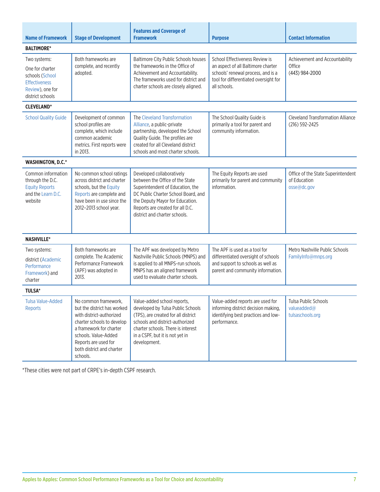| <b>Name of Framework</b>                                                                                           | <b>Stage of Development</b>                                                                                                                                                                                                       | <b>Features and Coverage of</b><br><b>Framework</b>                                                                                                                                                                                             | <b>Purpose</b>                                                                                                                                                      | <b>Contact Information</b>                                        |  |  |
|--------------------------------------------------------------------------------------------------------------------|-----------------------------------------------------------------------------------------------------------------------------------------------------------------------------------------------------------------------------------|-------------------------------------------------------------------------------------------------------------------------------------------------------------------------------------------------------------------------------------------------|---------------------------------------------------------------------------------------------------------------------------------------------------------------------|-------------------------------------------------------------------|--|--|
| <b>BALTIMORE*</b>                                                                                                  |                                                                                                                                                                                                                                   |                                                                                                                                                                                                                                                 |                                                                                                                                                                     |                                                                   |  |  |
| Two systems:<br>One for charter<br>schools (School<br><b>Effectiveness</b><br>Review), one for<br>district schools | Both frameworks are<br>complete, and recently<br>adopted.                                                                                                                                                                         | Baltimore City Public Schools houses<br>the frameworks in the Office of<br>Achievement and Accountability.<br>The frameworks used for district and<br>charter schools are closely aligned.                                                      | School Effectiveness Review is<br>an aspect of all Baltimore charter<br>schools' renewal process, and is a<br>tool for differentiated oversight for<br>all schools. | Achievement and Accountability<br>Office<br>(443) 984-2000        |  |  |
| <b>CLEVELAND*</b>                                                                                                  |                                                                                                                                                                                                                                   |                                                                                                                                                                                                                                                 |                                                                                                                                                                     |                                                                   |  |  |
| <b>School Quality Guide</b>                                                                                        | Development of common<br>school profiles are<br>complete, which include<br>common academic<br>metrics. First reports were<br>in 2013.                                                                                             | The Cleveland Transformation<br>Alliance, a public-private<br>partnership, developed the School<br>Quality Guide. The profiles are<br>created for all Cleveland district<br>schools and most charter schools.                                   | The School Quality Guide is<br>primarily a tool for parent and<br>community information.                                                                            | <b>Cleveland Transformation Alliance</b><br>(216) 592-2425        |  |  |
| <b>WASHINGTON, D.C.*</b>                                                                                           |                                                                                                                                                                                                                                   |                                                                                                                                                                                                                                                 |                                                                                                                                                                     |                                                                   |  |  |
| Common information<br>through the D.C.<br><b>Equity Reports</b><br>and the Learn D.C.<br>website                   | No common school ratings<br>across district and charter<br>schools, but the Equity<br>Reports are complete and<br>have been in use since the<br>2012-2013 school year.                                                            | Developed collaboratively<br>between the Office of the State<br>Superintendent of Education, the<br>DC Public Charter School Board, and<br>the Deputy Mayor for Education.<br>Reports are created for all D.C.<br>district and charter schools. | The Equity Reports are used<br>primarily for parent and community<br>information.                                                                                   | Office of the State Superintendent<br>of Education<br>osse@dc.gov |  |  |
| <b>NASHVILLE*</b>                                                                                                  |                                                                                                                                                                                                                                   |                                                                                                                                                                                                                                                 |                                                                                                                                                                     |                                                                   |  |  |
| Two systems:<br>district (Academic<br>Performance<br>Framework) and<br>charter                                     | Both frameworks are<br>complete. The Academic<br>Performance Framework<br>(APF) was adopted in<br>2013.                                                                                                                           | The APF was developed by Metro<br>Nashville Public Schools (MNPS) and<br>is applied to all MNPS-run schools.<br>MNPS has an aligned framework<br>used to evaluate charter schools.                                                              | The APF is used as a tool for<br>differentiated oversight of schools<br>and support to schools as well as<br>parent and community information.                      | Metro Nashville Public Schools<br>FamilyInfo@mnps.org             |  |  |
| <b>TULSA*</b>                                                                                                      |                                                                                                                                                                                                                                   |                                                                                                                                                                                                                                                 |                                                                                                                                                                     |                                                                   |  |  |
| Tulsa Value-Added<br><b>Reports</b>                                                                                | No common framework,<br>but the district has worked<br>with district-authorized<br>charter schools to develop<br>a framework for charter<br>schools. Value-Added<br>Reports are used for<br>both district and charter<br>schools. | Value-added school reports,<br>developed by Tulsa Public Schools<br>(TPS), are created for all district<br>schools and district-authorized<br>charter schools. There is interest<br>in a CSPF, but it is not yet in<br>development.             | Value-added reports are used for<br>informing district decision making,<br>identifying best practices and low-<br>performance.                                      | Tulsa Public Schools<br>valueadded@<br>tulsaschools.org           |  |  |

\*These cities were not part of CRPE's in-depth CSPF research.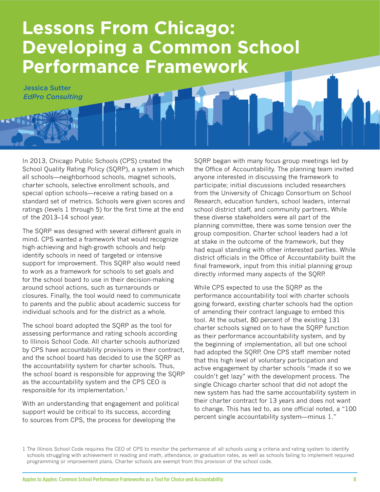## **Lessons From Chicago: Developing a Common School Performance Framework**

Jessica Sutter *EdPro Consulting*

In 2013, Chicago Public Schools (CPS) created the School Quality Rating Policy (SQRP), a system in which all schools—neighborhood schools, magnet schools, charter schools, selective enrollment schools, and special option schools—receive a rating based on a standard set of metrics. Schools were given scores and ratings (levels 1 through 5) for the first time at the end of the 2013–14 school year.

The SQRP was designed with several different goals in mind. CPS wanted a framework that would recognize high-achieving and high-growth schools and help identify schools in need of targeted or intensive support for improvement. This SQRP also would need to work as a framework for schools to set goals and for the school board to use in their decision-making around school actions, such as turnarounds or closures. Finally, the tool would need to communicate to parents and the public about academic success for individual schools and for the district as a whole.

The school board adopted the SQRP as the tool for assessing performance and rating schools according to Illinois School Code. All charter schools authorized by CPS have accountability provisions in their contract, and the school board has decided to use the SQRP as the accountability system for charter schools. Thus, the school board is responsible for approving the SQRP as the accountability system and the CPS CEO is responsible for its implementation.<sup>1</sup>

With an understanding that engagement and political support would be critical to its success, according to sources from CPS, the process for developing the

SQRP began with many focus group meetings led by the Office of Accountability. The planning team invited anyone interested in discussing the framework to participate; initial discussions included researchers from the University of Chicago Consortium on School Research, education funders, school leaders, internal school district staff, and community partners. While these diverse stakeholders were all part of the planning committee, there was some tension over the group composition. Charter school leaders had a lot at stake in the outcome of the framework, but they had equal standing with other interested parties. While district officials in the Office of Accountability built the final framework, input from this initial planning group directly informed many aspects of the SQRP.

While CPS expected to use the SQRP as the performance accountability tool with charter schools going forward, existing charter schools had the option of amending their contract language to embed this tool. At the outset, 80 percent of the existing 131 charter schools signed on to have the SQRP function as their performance accountability system, and by the beginning of implementation, all but one school had adopted the SQRP. One CPS staff member noted that this high level of voluntary participation and active engagement by charter schools "made it so we couldn't get lazy" with the development process. The single Chicago charter school that did not adopt the new system has had the same accountability system in their charter contract for 13 years and does not want to change. This has led to, as one official noted, a "100 percent single accountability system—minus 1."

<sup>1</sup> The Illinois School Code requires the CEO of CPS to monitor the performance of all schools using a criteria and rating system to identify schools struggling with achievement in reading and math, attendance, or graduation rates, as well as schools failing to implement required programming or improvement plans. Charter schools are exempt from this provision of the school code.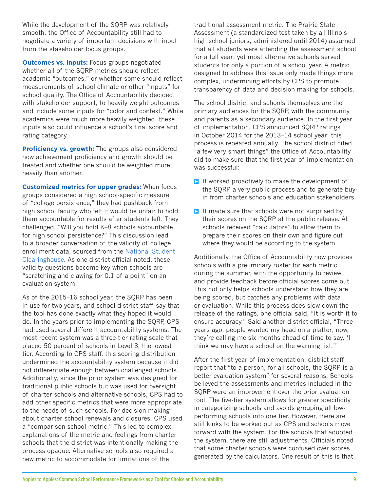While the development of the SQRP was relatively smooth, the Office of Accountability still had to negotiate a variety of important decisions with input from the stakeholder focus groups.

**Outcomes vs. inputs:** Focus groups negotiated whether all of the SQRP metrics should reflect academic "outcomes," or whether some should reflect measurements of school climate or other "inputs" for school quality. The Office of Accountability decided, with stakeholder support, to heavily weight outcomes and include some inputs for "color and context." While academics were much more heavily weighted, these inputs also could influence a school's final score and rating category.

**Proficiency vs. growth:** The groups also considered how achievement proficiency and growth should be treated and whether one should be weighted more heavily than another.

**Customized metrics for upper grades:** When focus groups considered a high school-specific measure of "college persistence," they had pushback from high school faculty who felt it would be unfair to hold them accountable for results after students left. They challenged, "Will you hold K–8 schools accountable for high school persistence?" This discussion lead to a broader conversation of the validity of college enrollment data, sourced from the [National Student](http://www.studentclearinghouse.org/)  [Clearinghouse.](http://www.studentclearinghouse.org/) As one district official noted, these validity questions become key when schools are "scratching and clawing for 0.1 of a point" on an evaluation system.

As of the 2015–16 school year, the SQRP has been in use for two years, and school district staff say that the tool has done exactly what they hoped it would do. In the years prior to implementing the SQRP, CPS had used several different accountability systems. The most recent system was a three-tier rating scale that placed 50 percent of schools in Level 3, the lowest tier. According to CPS staff, this scoring distribution undermined the accountability system because it did not differentiate enough between challenged schools. Additionally, since the prior system was designed for traditional public schools but was used for oversight of charter schools and alternative schools, CPS had to add other specific metrics that were more appropriate to the needs of such schools. For decision making about charter school renewals and closures, CPS used a "comparison school metric." This led to complex explanations of the metric and feelings from charter schools that the district was intentionally making the process opaque. Alternative schools also required a new metric to accommodate for limitations of the

traditional assessment metric. The Prairie State Assessment (a standardized test taken by all Illinois high school juniors, administered until 2014) assumed that all students were attending the assessment school for a full year; yet most alternative schools served students for only a portion of a school year. A metric designed to address this issue only made things more complex, undermining efforts by CPS to promote transparency of data and decision making for schools.

The school district and schools themselves are the primary audiences for the SQRP, with the community and parents as a secondary audience. In the first year of implementation, CPS announced SQRP ratings in October 2014 for the 2013–14 school year; this process is repeated annually. The school district cited "a few very smart things" the Office of Accountability did to make sure that the first year of implementation was successful:

- $\triangleright$  It worked proactively to make the development of the SQRP a very public process and to generate buyin from charter schools and education stakeholders.
- $\triangleright$  It made sure that schools were not surprised by their scores on the SQRP at the public release. All schools received "calculators" to allow them to prepare their scores on their own and figure out where they would be according to the system.

Additionally, the Office of Accountability now provides schools with a preliminary roster for each metric during the summer, with the opportunity to review and provide feedback before official scores come out. This not only helps schools understand how they are being scored, but catches any problems with data or evaluation. While this process does slow down the release of the ratings, one official said, "It is worth it to ensure accuracy." Said another district official, "Three years ago, people wanted my head on a platter; now, they're calling me six months ahead of time to say, 'I think we may have a school on the warning list.'"

After the first year of implementation, district staff report that "to a person, for all schools, the SQRP is a better evaluation system" for several reasons. Schools believed the assessments and metrics included in the SQRP were an improvement over the prior evaluation tool. The five-tier system allows for greater specificity in categorizing schools and avoids grouping all lowperforming schools into one tier. However, there are still kinks to be worked out as CPS and schools move forward with the system. For the schools that adopted the system, there are still adjustments. Officials noted that some charter schools were confused over scores generated by the calculators. One result of this is that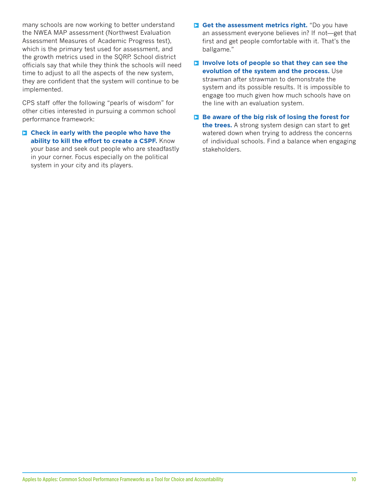many schools are now working to better understand the NWEA MAP assessment (Northwest Evaluation Assessment Measures of Academic Progress test), which is the primary test used for assessment, and the growth metrics used in the SQRP. School district officials say that while they think the schools will need time to adjust to all the aspects of the new system, they are confident that the system will continue to be implemented.

CPS staff offer the following "pearls of wisdom" for other cities interested in pursuing a common school performance framework:

**E** Check in early with the people who have the **ability to kill the effort to create a CSPF.** Know your base and seek out people who are steadfastly in your corner. Focus especially on the political system in your city and its players.

**S** Get the assessment metrics right. "Do you have an assessment everyone believes in? If not—get that first and get people comfortable with it. That's the ballgame."

**Involve lots of people so that they can see the evolution of the system and the process.** Use strawman after strawman to demonstrate the system and its possible results. It is impossible to engage too much given how much schools have on the line with an evaluation system.

**Be aware of the big risk of losing the forest for the trees.** A strong system design can start to get watered down when trying to address the concerns of individual schools. Find a balance when engaging stakeholders.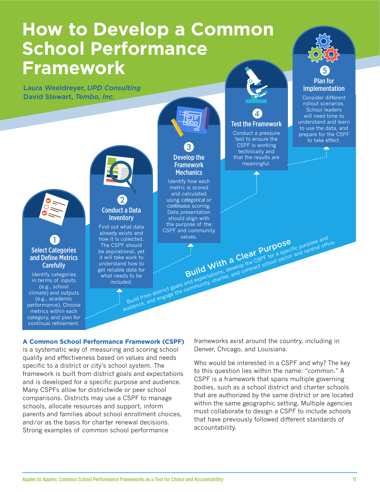# **How to Develop a Common School Performance Framework**

Laura Weeldreyer, *UPD Consulting* David Stewart, *Tembo, Inc.*



#### **A Common School Performance Framework (CSPF)**

is a systematic way of measuring and scoring school quality and effectiveness based on values and needs specific to a district or city's school system. The framework is built from district goals and expectations and is developed for a specific purpose and audience. Many CSPFs allow for districtwide or peer school comparisons. Districts may use a CSPF to manage schools, allocate resources and support, inform parents and families about school enrollment choices, and/or as the basis for charter renewal decisions. Strong examples of common school performance

frameworks exist around the country, including in Denver, Chicago, and Louisiana.

Who would be interested in a CSPF and why? The key to this question lies within the name: "common." A CSPF is a framework that spans multiple governing bodies, such as a school district and charter schools that are authorized by the same district or are located within the same geographic setting. Multiple agencies must collaborate to design a CSPF to include schools that have previously followed different standards of accountability.

❺ [Plan for](#page-21-0)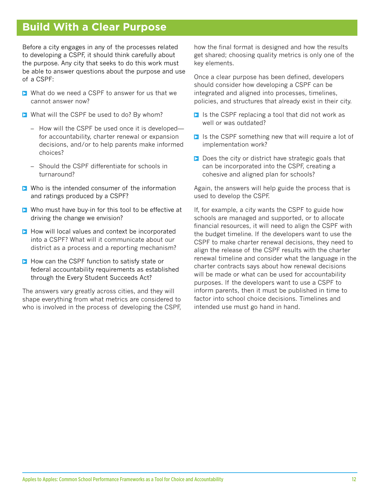## **Build With a Clear Purpose**

Before a city engages in any of the processes related to developing a CSPF, it should think carefully about the purpose. Any city that seeks to do this work must be able to answer questions about the purpose and use of a CSPF:

- $\triangleright$  What do we need a CSPF to answer for us that we cannot answer now?
- $\triangleright$  What will the CSPF be used to do? By whom?
	- How will the CSPF be used once it is developed for accountability, charter renewal or expansion decisions, and/or to help parents make informed choices?
	- Should the CSPF differentiate for schools in turnaround?
- $\triangleright$  Who is the intended consumer of the information and ratings produced by a CSPF?
- $\triangleright$  Who must have buy-in for this tool to be effective at driving the change we envision?
- $\blacksquare$  How will local values and context be incorporated into a CSPF? What will it communicate about our district as a process and a reporting mechanism?
- $\triangleright$  How can the CSPF function to satisfy state or federal accountability requirements as established through the Every Student Succeeds Act?

The answers vary greatly across cities, and they will shape everything from what metrics are considered to who is involved in the process of developing the CSPF, how the final format is designed and how the results get shared; choosing quality metrics is only one of the key elements.

Once a clear purpose has been defined, developers should consider how developing a CSPF can be integrated and aligned into processes, timelines, policies, and structures that already exist in their city.

- $\triangleright$  Is the CSPF replacing a tool that did not work as well or was outdated?
- $\triangleright$  Is the CSPF something new that will require a lot of implementation work?
- $\triangleright$  Does the city or district have strategic goals that can be incorporated into the CSPF, creating a cohesive and aligned plan for schools?

Again, the answers will help guide the process that is used to develop the CSPF.

If, for example, a city wants the CSPF to guide how schools are managed and supported, or to allocate financial resources, it will need to align the CSPF with the budget timeline. If the developers want to use the CSPF to make charter renewal decisions, they need to align the release of the CSPF results with the charter renewal timeline and consider what the language in the charter contracts says about how renewal decisions will be made or what can be used for accountability purposes. If the developers want to use a CSPF to inform parents, then it must be published in time to factor into school choice decisions. Timelines and intended use must go hand in hand.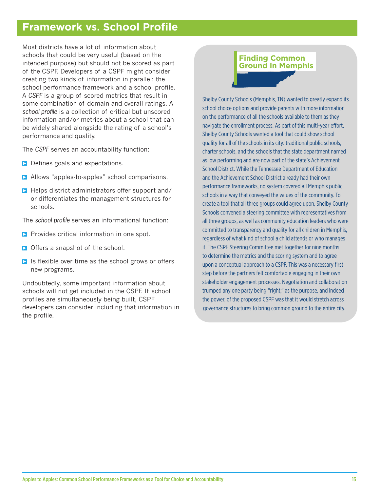## **Framework vs. School Profile**

Most districts have a lot of information about schools that could be very useful (based on the intended purpose) but should not be scored as part of the CSPF. Developers of a CSPF might consider creating two kinds of information in parallel: the school performance framework and a school profile. A *CSPF* is a group of scored metrics that result in some combination of domain and overall ratings. A *school profile* is a collection of critical but unscored information and/or metrics about a school that can be widely shared alongside the rating of a school's performance and quality.

The *CSPF* serves an accountability function:

- $\triangleright$  Defines goals and expectations.
- **>** Allows "apples-to-apples" school comparisons.
- $\triangleright$  Helps district administrators offer support and/ or differentiates the management structures for schools.

The *school profile* serves an informational function:

- $\triangleright$  Provides critical information in one spot.
- $\triangleright$  Offers a snapshot of the school.
- $\triangleright$  Is flexible over time as the school grows or offers new programs.

Undoubtedly, some important information about schools will not get included in the CSPF. If school profiles are simultaneously being built, CSPF developers can consider including that information in the profile.

### **Finding Common Ground in Memphis**

Shelby County Schools (Memphis, TN) wanted to greatly expand its school choice options and provide parents with more information on the performance of all the schools available to them as they navigate the enrollment process. As part of this multi-year effort, Shelby County Schools wanted a tool that could show school quality for all of the schools in its city: traditional public schools, charter schools, and the schools that the state department named as low performing and are now part of the state's Achievement School District. While the Tennessee Department of Education and the Achievement School District already had their own performance frameworks, no system covered all Memphis public schools in a way that conveyed the values of the community. To create a tool that all three groups could agree upon, Shelby County Schools convened a steering committee with representatives from all three groups, as well as community education leaders who were committed to transparency and quality for all children in Memphis, regardless of what kind of school a child attends or who manages it. The CSPF Steering Committee met together for nine months to determine the metrics and the scoring system and to agree upon a conceptual approach to a CSPF. This was a necessary first step before the partners felt comfortable engaging in their own stakeholder engagement processes. Negotiation and collaboration trumped any one party being "right," as the purpose, and indeed the power, of the proposed CSPF was that it would stretch across governance structures to bring common ground to the entire city.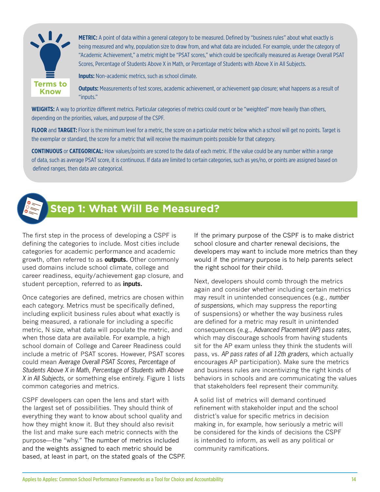<span id="page-15-0"></span>

**METRIC:** A point of data within a general category to be measured. Defined by "business rules" about what exactly is being measured and why, population size to draw from, and what data are included. For example, under the category of "Academic Achievement," a metric might be "PSAT scores," which could be specifically measured as Average Overall PSAT Scores, Percentage of Students Above X in Math, or Percentage of Students with Above X in All Subjects.

**Inputs:** Non-academic metrics, such as school climate.

**Outputs:** Measurements of test scores, academic achievement, or achievement gap closure; what happens as a result of "inputs."

**WEIGHTS:** A way to prioritize different metrics. Particular categories of metrics could count or be "weighted" more heavily than others, depending on the priorities, values, and purpose of the CSPF.

**FLOOR** and **TARGET:** Floor is the minimum level for a metric, the score on a particular metric below which a school will get no points. Target is the exemplar or standard, the score for a metric that will receive the maximum points possible for that category.

**CONTINUOUS** or **CATEGORICAL:** How values/points are scored to the data of each metric. If the value could be any number within a range of data, such as average PSAT score, it is continuous. If data are limited to certain categories, such as yes/no, or points are assigned based on defined ranges, then data are categorical.



## **Step 1: What Will Be Measured?**

The first step in the process of developing a CSPF is defining the categories to include. Most cities include categories for academic performance and academic growth, often referred to as **outputs.** Other commonly used domains include school climate, college and career readiness, equity/achievement gap closure, and student perception, referred to as **inputs.**

Once categories are defined, metrics are chosen within each category. Metrics must be specifically defined, including explicit business rules about what exactly is being measured, a rationale for including a specific metric, N size, what data will populate the metric, and when those data are available. For example, a high school domain of College and Career Readiness could include a metric of PSAT scores. However, PSAT scores could mean *Average Overall PSAT Scores, Percentage of Students Above X in Math, Percentage of Students with Above X in All Subjects,* or something else entirely. Figure 1 lists common categories and metrics.

CSPF developers can open the lens and start with the largest set of possibilities. They should think of everything they want to know about school quality and how they might know it. But they should also revisit the list and make sure each metric connects with the purpose—the "why." The number of metrics included and the weights assigned to each metric should be based, at least in part, on the stated goals of the CSPF. If the primary purpose of the CSPF is to make district school closure and charter renewal decisions, the developers may want to include more metrics than they would if the primary purpose is to help parents select the right school for their child.

Next, developers should comb through the metrics again and consider whether including certain metrics may result in unintended consequences (e.g., *number of suspensions,* which may suppress the reporting of suspensions) or whether the way business rules are defined for a metric may result in unintended consequences (e.g., *Advanced Placement (AP) pass rates,* which may discourage schools from having students sit for the AP exam unless they think the students will pass, vs. *AP pass rates of all 12th graders,* which actually encourages AP participation). Make sure the metrics and business rules are incentivizing the right kinds of behaviors in schools and are communicating the values that stakeholders feel represent their community.

A solid list of metrics will demand continued refinement with stakeholder input and the school district's value for specific metrics in decision making in, for example, how seriously a metric will be considered for the kinds of decisions the CSPF is intended to inform, as well as any political or community ramifications.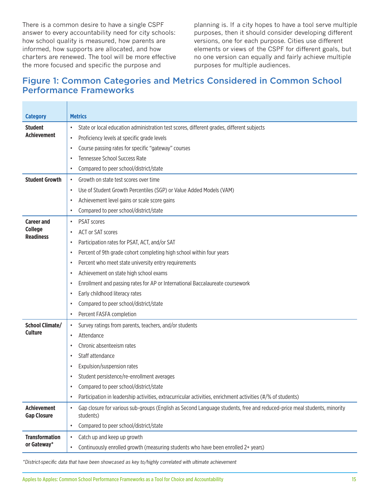There is a common desire to have a single CSPF answer to every accountability need for city schools: how school quality is measured, how parents are informed, how supports are allocated, and how charters are renewed. The tool will be more effective the more focused and specific the purpose and

planning is. If a city hopes to have a tool serve multiple purposes, then it should consider developing different versions, one for each purpose. Cities use different elements or views of the CSPF for different goals, but no one version can equally and fairly achieve multiple purposes for multiple audiences.

## Figure 1: Common Categories and Metrics Considered in Common School Performance Frameworks

| <b>Category</b>                          | <b>Metrics</b>                                                                                                                                    |  |  |  |  |  |
|------------------------------------------|---------------------------------------------------------------------------------------------------------------------------------------------------|--|--|--|--|--|
| <b>Student</b>                           | State or local education administration test scores, different grades, different subjects<br>$\bullet$                                            |  |  |  |  |  |
| <b>Achievement</b>                       | Proficiency levels at specific grade levels<br>$\bullet$                                                                                          |  |  |  |  |  |
|                                          | Course passing rates for specific "gateway" courses<br>$\bullet$                                                                                  |  |  |  |  |  |
|                                          | Tennessee School Success Rate<br>$\bullet$                                                                                                        |  |  |  |  |  |
|                                          | Compared to peer school/district/state<br>$\bullet$                                                                                               |  |  |  |  |  |
| <b>Student Growth</b>                    | Growth on state test scores over time<br>$\bullet$                                                                                                |  |  |  |  |  |
|                                          | Use of Student Growth Percentiles (SGP) or Value Added Models (VAM)                                                                               |  |  |  |  |  |
|                                          | Achievement level gains or scale score gains<br>$\bullet$                                                                                         |  |  |  |  |  |
|                                          | Compared to peer school/district/state<br>$\bullet$                                                                                               |  |  |  |  |  |
| <b>Career and</b>                        | <b>PSAT scores</b><br>$\bullet$                                                                                                                   |  |  |  |  |  |
| <b>College</b><br><b>Readiness</b>       | <b>ACT or SAT scores</b><br>$\bullet$                                                                                                             |  |  |  |  |  |
|                                          | Participation rates for PSAT, ACT, and/or SAT<br>$\bullet$                                                                                        |  |  |  |  |  |
|                                          | Percent of 9th grade cohort completing high school within four years<br>$\bullet$                                                                 |  |  |  |  |  |
|                                          | Percent who meet state university entry requirements<br>$\bullet$                                                                                 |  |  |  |  |  |
|                                          | Achievement on state high school exams<br>$\bullet$                                                                                               |  |  |  |  |  |
|                                          | Enrollment and passing rates for AP or International Baccalaureate coursework<br>$\bullet$<br>Early childhood literacy rates<br>$\bullet$         |  |  |  |  |  |
|                                          |                                                                                                                                                   |  |  |  |  |  |
|                                          | Compared to peer school/district/state<br>$\bullet$                                                                                               |  |  |  |  |  |
|                                          | Percent FASFA completion<br>$\bullet$                                                                                                             |  |  |  |  |  |
| <b>School Climate/</b>                   | Survey ratings from parents, teachers, and/or students<br>$\bullet$                                                                               |  |  |  |  |  |
| <b>Culture</b>                           | Attendance<br>$\bullet$                                                                                                                           |  |  |  |  |  |
|                                          | Chronic absenteeism rates<br>$\bullet$                                                                                                            |  |  |  |  |  |
|                                          | Staff attendance<br>$\bullet$                                                                                                                     |  |  |  |  |  |
|                                          | Expulsion/suspension rates<br>$\bullet$                                                                                                           |  |  |  |  |  |
|                                          | Student persistence/re-enrollment averages                                                                                                        |  |  |  |  |  |
|                                          | Compared to peer school/district/state<br>$\bullet$                                                                                               |  |  |  |  |  |
|                                          | Participation in leadership activities, extracurricular activities, enrichment activities (#/% of students)<br>$\bullet$                          |  |  |  |  |  |
| <b>Achievement</b><br><b>Gap Closure</b> | Gap closure for various sub-groups (English as Second Language students, free and reduced-price meal students, minority<br>$\bullet$<br>students) |  |  |  |  |  |
|                                          | Compared to peer school/district/state<br>$\bullet$                                                                                               |  |  |  |  |  |
| <b>Transformation</b>                    | Catch up and keep up growth<br>$\bullet$                                                                                                          |  |  |  |  |  |
| or Gateway*                              | Continuously enrolled growth (measuring students who have been enrolled 2+ years)<br>$\bullet$                                                    |  |  |  |  |  |

*\*District-specific data that have been showcased as key to/highly correlated with ultimate achievement*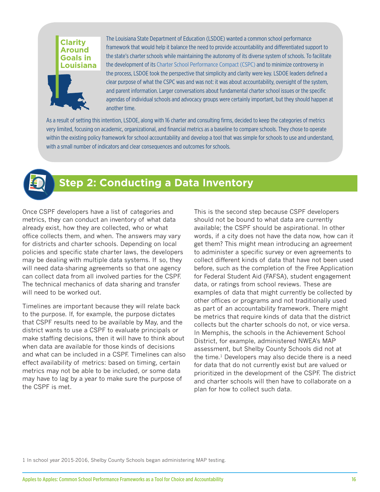#### <span id="page-17-0"></span>**Clarity Around Goals in Louisiana**



The Louisiana State Department of Education (LSDOE) wanted a common school performance framework that would help it balance the need to provide accountability and differentiated support to the state's charter schools while maintaining the autonomy of its diverse system of schools. To facilitate the development of its [Charter School Performance Compact \(CSPC\)](http://www.louisianabelieves.com/docs/default-source/school-choice/charter-performance-compact.pdf) and to minimize controversy in the process, LSDOE took the perspective that simplicity and clarity were key. LSDOE leaders defined a clear purpose of what the CSPC was and was not: it was about accountability, oversight of the system, and parent information. Larger conversations about fundamental charter school issues or the specific agendas of individual schools and advocacy groups were certainly important, but they should happen at another time.

As a result of setting this intention, LSDOE, along with 16 charter and consulting firms, decided to keep the categories of metrics very limited, focusing on academic, organizational, and financial metrics as a baseline to compare schools. They chose to operate within the existing policy framework for school accountability and develop a tool that was simple for schools to use and understand, with a small number of indicators and clear consequences and outcomes for schools.



## **Step 2: Conducting a Data Inventory**

Once CSPF developers have a list of categories and metrics, they can conduct an inventory of what data already exist, how they are collected, who or what office collects them, and when. The answers may vary for districts and charter schools. Depending on local policies and specific state charter laws, the developers may be dealing with multiple data systems. If so, they will need data-sharing agreements so that one agency can collect data from all involved parties for the CSPF. The technical mechanics of data sharing and transfer will need to be worked out.

Timelines are important because they will relate back to the purpose. If, for example, the purpose dictates that CSPF results need to be available by May, and the district wants to use a CSPF to evaluate principals or make staffing decisions, then it will have to think about when data are available for those kinds of decisions and what can be included in a CSPF. Timelines can also effect availability of metrics: based on timing, certain metrics may not be able to be included, or some data may have to lag by a year to make sure the purpose of the CSPF is met.

This is the second step because CSPF developers should not be bound to what data are currently available; the CSPF should be aspirational. In other words, if a city does not have the data now, how can it get them? This might mean introducing an agreement to administer a specific survey or even agreements to collect different kinds of data that have not been used before, such as the completion of the Free Application for Federal Student Aid (FAFSA), student engagement data, or ratings from school reviews. These are examples of data that might currently be collected by other offices or programs and not traditionally used as part of an accountability framework. There might be metrics that require kinds of data that the district collects but the charter schools do not, or vice versa. In Memphis, the schools in the Achievement School District, for example, administered NWEA's MAP assessment, but Shelby County Schools did not at the time. $1$  Developers may also decide there is a need for data that do not currently exist but are valued or prioritized in the development of the CSPF. The district and charter schools will then have to collaborate on a plan for how to collect such data.

1 In school year 2015-2016, Shelby County Schools began administering MAP testing.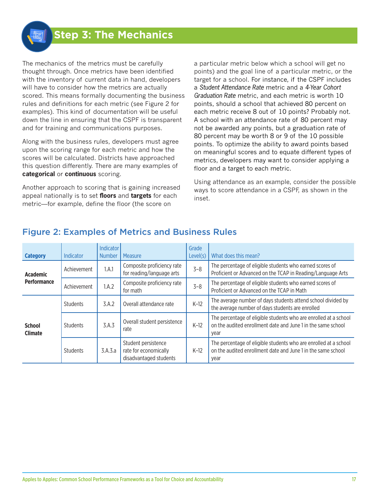## <span id="page-18-0"></span>**Step 3: The Mechanics**

The mechanics of the metrics must be carefully thought through. Once metrics have been identified with the inventory of current data in hand, developers will have to consider how the metrics are actually scored. This means formally documenting the business rules and definitions for each metric (see Figure 2 for examples). This kind of documentation will be useful down the line in ensuring that the CSPF is transparent and for training and communications purposes.

Along with the business rules, developers must agree upon the scoring range for each metric and how the scores will be calculated. Districts have approached this question differently. There are many examples of **categorical** or **continuous** scoring.

Another approach to scoring that is gaining increased appeal nationally is to set **floors** and **targets** for each metric—for example, define the floor (the score on

a particular metric below which a school will get no points) and the goal line of a particular metric, or the target for a school. For instance, if the CSPF includes a *Student Attendance Rate* metric and a *4-Year Cohort Graduation Rate* metric, and each metric is worth 10 points, should a school that achieved 80 percent on each metric receive 8 out of 10 points? Probably not. A school with an attendance rate of 80 percent may not be awarded any points, but a graduation rate of 80 percent may be worth 8 or 9 of the 10 possible points. To optimize the ability to award points based on meaningful scores and to equate different types of metrics, developers may want to consider applying a floor and a target to each metric.

Using attendance as an example, consider the possible ways to score attendance in a CSPF, as shown in the inset.

| <b>Category</b>                       | <b>Indicator</b> | Indicator<br><b>Number</b> | Measure                                                                | Grade<br>Level(s) | What does this mean?                                                                                                                     |
|---------------------------------------|------------------|----------------------------|------------------------------------------------------------------------|-------------------|------------------------------------------------------------------------------------------------------------------------------------------|
| <b>Academic</b><br><b>Performance</b> | Achievement      | 1.A.1                      | Composite proficiency rate<br>for reading/language arts                | $3 - 8$           | The percentage of eligible students who earned scores of<br>Proficient or Advanced on the TCAP in Reading/Language Arts                  |
|                                       | Achievement      | 1.A.2                      | Composite proficiency rate<br>for math                                 | $3 - 8$           | The percentage of eligible students who earned scores of<br>Proficient or Advanced on the TCAP in Math                                   |
| <b>School</b><br><b>Climate</b>       | Students         | 3.A.2                      | Overall attendance rate                                                | $K-12$            | The average number of days students attend school divided by<br>the average number of days students are enrolled                         |
|                                       | <b>Students</b>  | 3.A.3                      | Overall student persistence<br>rate                                    | $K-12$            | The percentage of eligible students who are enrolled at a school<br>on the audited enrollment date and June 1 in the same school<br>year |
|                                       | Students         | 3.A.3.a                    | Student persistence<br>rate for economically<br>disadvantaged students | $K-12$            | The percentage of eligible students who are enrolled at a school<br>on the audited enrollment date and June 1 in the same school<br>year |

## Figure 2: Examples of Metrics and Business Rules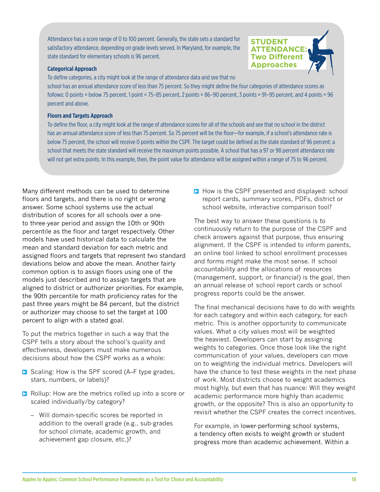Attendance has a score range of 0 to 100 percent. Generally, the state sets a standard for satisfactory attendance, depending on grade levels served. In Maryland, for example, the state standard for elementary schools is 96 percent.

#### **Categorical Approach**

To define categories, a city might look at the range of attendance data and see that no

school has an annual attendance score of less than 75 percent. So they might define the four categories of attendance scores as follows: 0 points = below 75 percent, 1 point = 75–85 percent, 2 points = 86–90 percent, 3 points = 91–95 percent, and 4 points = 96 percent and above.

#### **Floors and Targets Approach**

To define the floor, a city might look at the range of attendance scores for all of the schools and see that no school in the district has an annual attendance score of less than 75 percent. So 75 percent will be the floor—for example, if a school's attendance rate is below 75 percent, the school will receive 0 points within the CSPF. The target could be defined as the state standard of 96 percent: a school that meets the state standard will receive the maximum points possible. A school that has a 97 or 98 percent attendance rate will not get extra points. In this example, then, the point value for attendance will be assigned within a range of 75 to 96 percent.

Many different methods can be used to determine floors and targets, and there is no right or wrong answer. Some school systems use the actual distribution of scores for all schools over a oneto three-year period and assign the 10th or 90th percentile as the floor and target respectively. Other models have used historical data to calculate the mean and standard deviation for each metric and assigned floors and targets that represent two standard deviations below and above the mean. Another fairly common option is to assign floors using one of the models just described and to assign targets that are aligned to district or authorizer priorities. For example, the 90th percentile for math proficiency rates for the past three years might be 84 percent, but the district or authorizer may choose to set the target at 100 percent to align with a stated goal.

To put the metrics together in such a way that the CSPF tells a story about the school's quality and effectiveness, developers must make numerous decisions about how the CSPF works as a whole:

- $\triangleright$  Scaling: How is the SPF scored (A–F type grades, stars, numbers, or labels)?
- $\triangleright$  Rollup: How are the metrics rolled up into a score or scaled individually/by category?
	- Will domain-specific scores be reported in addition to the overall grade (e.g., sub-grades for school climate, academic growth, and achievement gap closure, etc.)?

 $\blacktriangleright$  How is the CSPF presented and displayed: school report cards, summary scores, PDFs, district or school website, interactive comparison tool?

**STUDENT ATTENDANCE: Two Different Approaches**

The best way to answer these questions is to continuously return to the purpose of the CSPF and check answers against that purpose, thus ensuring alignment. If the CSPF is intended to inform parents, an online tool linked to school enrollment processes and forms might make the most sense. If school accountability and the allocations of resources (management, support, or financial) is the goal, then an annual release of school report cards or school progress reports could be the answer.

The final mechanical decisions have to do with weights for each category and within each category, for each metric. This is another opportunity to communicate values. What a city values most will be weighted the heaviest. Developers can start by assigning weights to categories. Once those look like the right communication of your values, developers can move on to weighting the individual metrics. Developers will have the chance to test these weights in the next phase of work. Most districts choose to weight academics most highly, but even that has nuance: Will they weight academic performance more highly than academic growth, or the opposite? This is also an opportunity to revisit whether the CSPF creates the correct incentives.

For example, in lower-performing school systems, a tendency often exists to weight growth or student progress more than academic achievement. Within a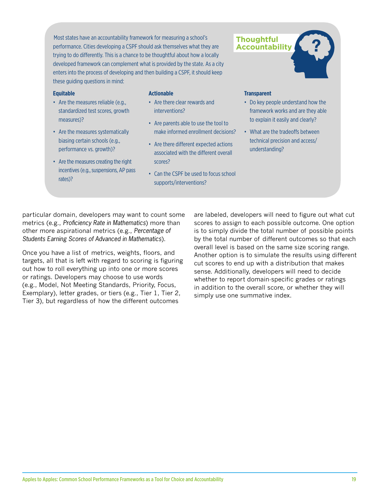Most states have an accountability framework for measuring a school's performance. Cities developing a CSPF should ask themselves what they are trying to do differently. This is a chance to be thoughtful about how a locally developed framework can complement what is provided by the state. As a city enters into the process of developing and then building a CSPF, it should keep these guiding questions in mind:

#### **Equitable**

- Are the measures reliable (e.g., standardized test scores, growth measures)?
- Are the measures systematically biasing certain schools (e.g., performance vs. growth)?
- Are the measures creating the right incentives (e.g., suspensions, AP pass rates)?

#### **Actionable**

- Are there clear rewards and interventions?
- Are parents able to use the tool to make informed enrollment decisions?
- Are there different expected actions associated with the different overall scores?
- Can the CSPF be used to focus school supports/interventions?



- Do key people understand how the framework works and are they able to explain it easily and clearly?
- What are the tradeoffs between technical precision and access/ understanding?

particular domain, developers may want to count some metrics (e.g., *Proficiency Rate in Mathematics*) more than other more aspirational metrics (e.g., *Percentage of Students Earning Scores of Advanced in Mathematics*).

Once you have a list of metrics, weights, floors, and targets, all that is left with regard to scoring is figuring out how to roll everything up into one or more scores or ratings. Developers may choose to use words (e.g., Model, Not Meeting Standards, Priority, Focus, Exemplary), letter grades, or tiers (e.g., Tier 1, Tier 2, Tier 3), but regardless of how the different outcomes

are labeled, developers will need to figure out what cut scores to assign to each possible outcome. One option is to simply divide the total number of possible points by the total number of different outcomes so that each overall level is based on the same size scoring range. Another option is to simulate the results using different cut scores to end up with a distribution that makes sense. Additionally, developers will need to decide whether to report domain-specific grades or ratings in addition to the overall score, or whether they will simply use one summative index.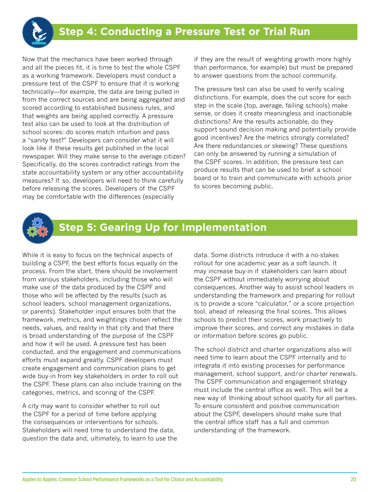<span id="page-21-0"></span>

Now that the mechanics have been worked through and all the pieces fit, it is time to test the whole CSPF as a working framework. Developers must conduct a pressure test of the CSPF to ensure that it is working technically—for example, the data are being pulled in from the correct sources and are being aggregated and scored according to established business rules, and that weights are being applied correctly. A pressure test also can be used to look at the distribution of school scores: do scores match intuition and pass a "sanity test?" Developers can consider what it will look like if these results get published in the local newspaper. Will they make sense to the average citizen? Specifically, do the scores contradict ratings from the state accountability system or any other accountability measures? If so, developers will need to think carefully before releasing the scores. Developers of the CSPF may be comfortable with the differences (especially

if they are the result of weighting growth more highly than performance, for example) but must be prepared to answer questions from the school community.

The pressure test can also be used to verify scaling distinctions. For example, does the cut score for each step in the scale (top, average, failing schools) make sense, or does it create meaningless and inactionable distinctions? Are the results actionable, do they support sound decision making and potentially provide good incentives? Are the metrics strongly correlated? Are there redundancies or skewing? These questions can only be answered by running a simulation of the CSPF scores. In addition, the pressure test can produce results that can be used to brief a school board or to train and communicate with schools prior to scores becoming public.



## **Step 5: Gearing Up for Implementation**

While it is easy to focus on the technical aspects of building a CSPF, the best efforts focus equally on the process. From the start, there should be involvement from various stakeholders, including those who will make use of the data produced by the CSPF and those who will be affected by the results (such as school leaders, school management organizations, or parents). Stakeholder input ensures both that the framework, metrics, and weightings chosen reflect the needs, values, and reality in that city and that there is broad understanding of the purpose of the CSPF and how it will be used. A pressure test has been conducted, and the engagement and communications efforts must expand greatly. CSPF developers must create engagement and communication plans to get wide buy-in from key stakeholders in order to roll out the CSPF. These plans can also include training on the categories, metrics, and scoring of the CSPF.

A city may want to consider whether to roll out the CSPF for a period of time before applying the consequences or interventions for schools. Stakeholders will need time to understand the data, question the data and, ultimately, to learn to use the data. Some districts introduce it with a no-stakes rollout for one academic year as a soft launch. It may increase buy-in if stakeholders can learn about the CSPF without immediately worrying about consequences. Another way to assist school leaders in understanding the framework and preparing for rollout is to provide a score "calculator," or a score projection tool, ahead of releasing the final scores. This allows schools to predict their scores, work proactively to improve their scores, and correct any mistakes in data or information before scores go public.

The school district and charter organizations also will need time to learn about the CSPF internally and to integrate it into existing processes for performance management, school support, and/or charter renewals. The CSPF communication and engagement strategy must include the central office as well. This will be a new way of thinking about school quality for all parties. To ensure consistent and positive communication about the CSPF, developers should make sure that the central office staff has a full and common understanding of the framework.